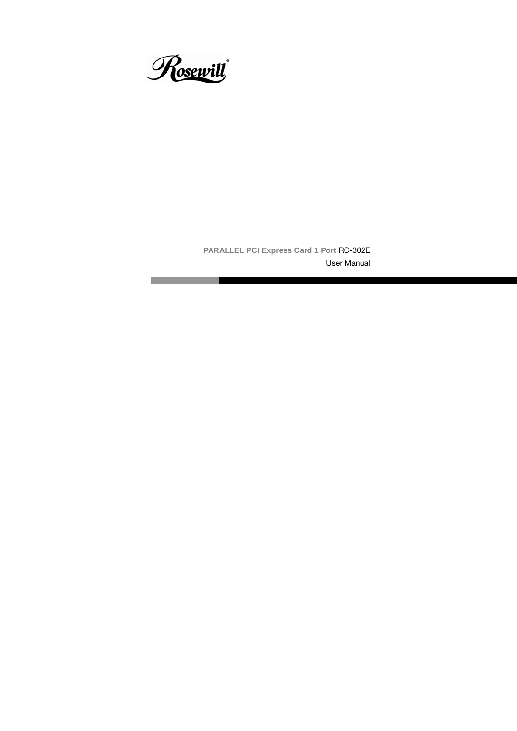

**PARALLEL PCI Express Card 1 Port** RC-302E

User Manual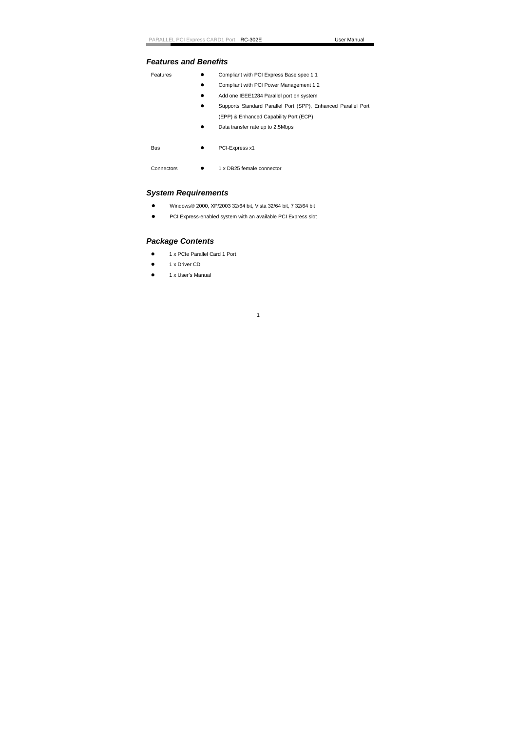# *Features and Benefits*

| Features   |           | Compliant with PCI Express Base spec 1.1                      |
|------------|-----------|---------------------------------------------------------------|
|            |           | Compliant with PCI Power Management 1.2                       |
|            | $\bullet$ | Add one IEEE1284 Parallel port on system                      |
|            |           | Supports Standard Parallel Port (SPP), Enhanced Parallel Port |
|            |           | (EPP) & Enhanced Capability Port (ECP)                        |
|            | ٠         | Data transfer rate up to 2.5Mbps                              |
|            |           |                                                               |
| <b>Bus</b> |           | PCI-Express x1                                                |
|            |           |                                                               |
| Connectors |           | 1 x DB25 female connector                                     |

# *System Requirements*

- Windows® 2000, XP/2003 32/64 bit, Vista 32/64 bit, 7 32/64 bit
- PCI Express-enabled system with an available PCI Express slot

# *Package Contents*

- $\bullet$  1 x PCIe Parallel Card 1 Port
- 1 x Driver CD
- $\bullet$  1 x User's Manual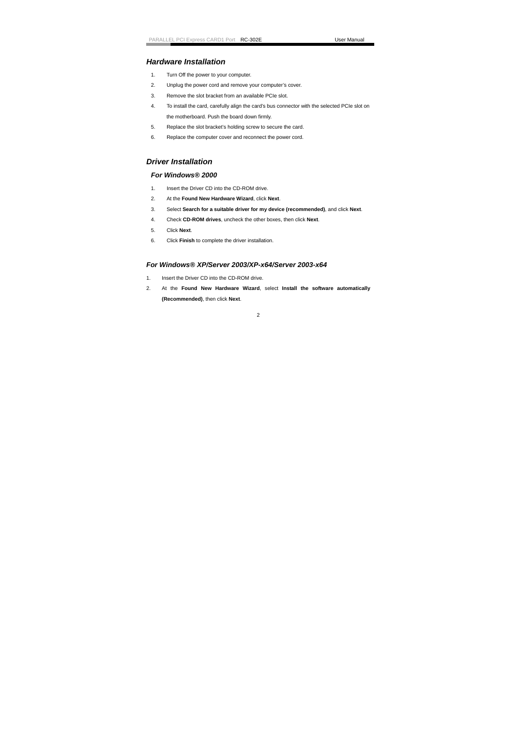# *Hardware Installation*

- 1. Turn Off the power to your computer.
- 2. Unplug the power cord and remove your computer's cover.
- 3. Remove the slot bracket from an available PCIe slot.
- 4. To install the card, carefully align the card's bus connector with the selected PCIe slot on the motherboard. Push the board down firmly.
- 5. Replace the slot bracket's holding screw to secure the card.
- 6. Replace the computer cover and reconnect the power cord.

### *Driver Installation*

### *For Windows® 2000*

- 1. Insert the Driver CD into the CD-ROM drive.
- 2. At the **Found New Hardware Wizard**, click **Next**.
- 3. Select **Search for a suitable driver for my device (recommended)**, and click **Next**.
- 4. Check **CD-ROM drives**, uncheck the other boxes, then click **Next**.
- 5. Click **Next**.
- 6. Click **Finish** to complete the driver installation.

### *For Windows® XP/Server 2003/XP-x64/Server 2003-x64*

- 1. Insert the Driver CD into the CD-ROM drive.
- 2. At the **Found New Hardware Wizard**, select **Install the software automatically (Recommended)**, then click **Next**.